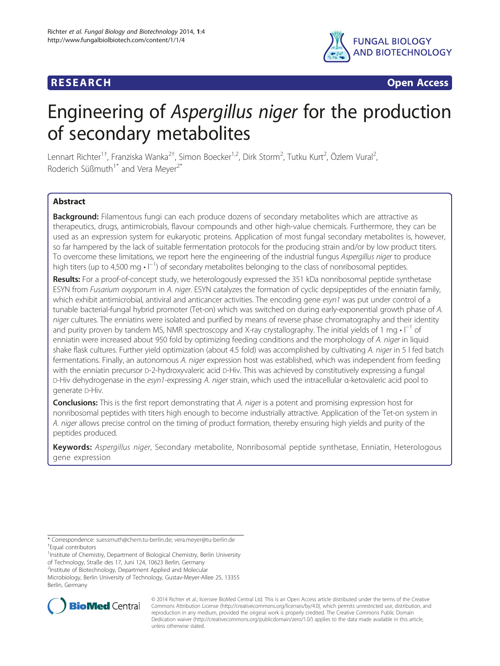# **RESEARCH RESEARCH CONSUMING ACCESS**



# Engineering of Aspergillus niger for the production of secondary metabolites

Lennart Richter<sup>1†</sup>, Franziska Wanka<sup>2†</sup>, Simon Boecker<sup>1,2</sup>, Dirk Storm<sup>2</sup>, Tutku Kurt<sup>2</sup>, Özlem Vural<sup>2</sup> , Roderich Süßmuth<sup>1\*</sup> and Vera Meyer<sup>2\*</sup>

# **Abstract**

**Background:** Filamentous fungi can each produce dozens of secondary metabolites which are attractive as therapeutics, drugs, antimicrobials, flavour compounds and other high-value chemicals. Furthermore, they can be used as an expression system for eukaryotic proteins. Application of most fungal secondary metabolites is, however, so far hampered by the lack of suitable fermentation protocols for the producing strain and/or by low product titers. To overcome these limitations, we report here the engineering of the industrial fungus Aspergillus niger to produce high titers (up to 4,500 mg  $\cdot$   $\vert^{-1}$ ) of secondary metabolites belonging to the class of nonribosomal peptides.

Results: For a proof-of-concept study, we heterologously expressed the 351 kDa nonribosomal peptide synthetase ESYN from Fusarium oxysporum in A. niger. ESYN catalyzes the formation of cyclic depsipeptides of the enniatin family, which exhibit antimicrobial, antiviral and anticancer activities. The encoding gene esyn1 was put under control of a tunable bacterial-fungal hybrid promoter (Tet-on) which was switched on during early-exponential growth phase of A. niger cultures. The enniatins were isolated and purified by means of reverse phase chromatography and their identity and purity proven by tandem MS, NMR spectroscopy and X-ray crystallography. The initial yields of 1 mg • I<sup>-1</sup> of enniatin were increased about 950 fold by optimizing feeding conditions and the morphology of A. niger in liquid shake flask cultures. Further yield optimization (about 4.5 fold) was accomplished by cultivating A. niger in 5 l fed batch fermentations. Finally, an autonomous A. niger expression host was established, which was independent from feeding with the enniatin precursor D-2-hydroxyvaleric acid D-Hiv. This was achieved by constitutively expressing a fungal D-Hiv dehydrogenase in the esyn1-expressing A. niger strain, which used the intracellular α-ketovaleric acid pool to generate D-Hiv.

**Conclusions:** This is the first report demonstrating that A. niger is a potent and promising expression host for nonribosomal peptides with titers high enough to become industrially attractive. Application of the Tet-on system in A. niger allows precise control on the timing of product formation, thereby ensuring high yields and purity of the peptides produced.

Keywords: Aspergillus niger, Secondary metabolite, Nonribosomal peptide synthetase, Enniatin, Heterologous gene expression

2 Institute of Biotechnology, Department Applied and Molecular

Microbiology, Berlin University of Technology, Gustav-Meyer-Allee 25, 13355 Berlin, Germany



© 2014 Richter et al.; licensee BioMed Central Ltd. This is an Open Access article distributed under the terms of the Creative Commons Attribution License [\(http://creativecommons.org/licenses/by/4.0\)](http://creativecommons.org/licenses/by/4.0), which permits unrestricted use, distribution, and reproduction in any medium, provided the original work is properly credited. The Creative Commons Public Domain Dedication waiver [\(http://creativecommons.org/publicdomain/zero/1.0/](http://creativecommons.org/publicdomain/zero/1.0/)) applies to the data made available in this article, unless otherwise stated.

<sup>\*</sup> Correspondence: [suessmuth@chem.tu-berlin.de](mailto:suessmuth@chem.tu-berlin.de); [vera.meyer@tu-berlin.de](mailto:vera.meyer@tu-berlin.de) † Equal contributors

<sup>&</sup>lt;sup>1</sup>Institute of Chemistry, Department of Biological Chemistry, Berlin University of Technology, Straße des 17, Juni 124, 10623 Berlin, Germany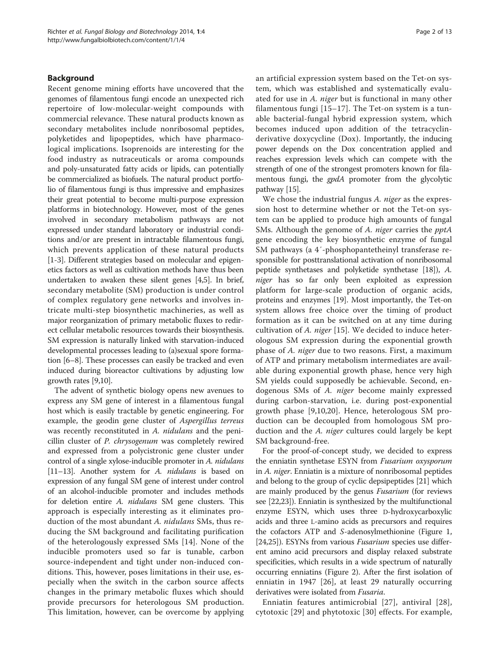#### Background

Recent genome mining efforts have uncovered that the genomes of filamentous fungi encode an unexpected rich repertoire of low-molecular-weight compounds with commercial relevance. These natural products known as secondary metabolites include nonribosomal peptides, polyketides and lipopeptides, which have pharmacological implications. Isoprenoids are interesting for the food industry as nutraceuticals or aroma compounds and poly-unsaturated fatty acids or lipids, can potentially be commercialized as biofuels. The natural product portfolio of filamentous fungi is thus impressive and emphasizes their great potential to become multi-purpose expression platforms in biotechnology. However, most of the genes involved in secondary metabolism pathways are not expressed under standard laboratory or industrial conditions and/or are present in intractable filamentous fungi, which prevents application of these natural products [[1-3\]](#page-11-0). Different strategies based on molecular and epigenetics factors as well as cultivation methods have thus been undertaken to awaken these silent genes [[4,5](#page-11-0)]. In brief, secondary metabolite (SM) production is under control of complex regulatory gene networks and involves intricate multi-step biosynthetic machineries, as well as major reorganization of primary metabolic fluxes to redirect cellular metabolic resources towards their biosynthesis. SM expression is naturally linked with starvation-induced developmental processes leading to (a)sexual spore formation [\[6](#page-11-0)–[8](#page-11-0)]. These processes can easily be tracked and even induced during bioreactor cultivations by adjusting low growth rates [\[9,10\]](#page-11-0).

The advent of synthetic biology opens new avenues to express any SM gene of interest in a filamentous fungal host which is easily tractable by genetic engineering. For example, the geodin gene cluster of Aspergillus terreus was recently reconstituted in A. nidulans and the penicillin cluster of P. chrysogenum was completely rewired and expressed from a polycistronic gene cluster under control of a single xylose-inducible promoter in A. nidulans [[11](#page-11-0)–[13](#page-11-0)]. Another system for A. nidulans is based on expression of any fungal SM gene of interest under control of an alcohol-inducible promoter and includes methods for deletion entire A. nidulans SM gene clusters. This approach is especially interesting as it eliminates production of the most abundant A. nidulans SMs, thus reducing the SM background and facilitating purification of the heterologously expressed SMs [[14\]](#page-11-0). None of the inducible promoters used so far is tunable, carbon source-independent and tight under non-induced conditions. This, however, poses limitations in their use, especially when the switch in the carbon source affects changes in the primary metabolic fluxes which should provide precursors for heterologous SM production. This limitation, however, can be overcome by applying an artificial expression system based on the Tet-on system, which was established and systematically evaluated for use in A. niger but is functional in many other filamentous fungi [\[15](#page-11-0)–[17\]](#page-11-0). The Tet-on system is a tunable bacterial-fungal hybrid expression system, which becomes induced upon addition of the tetracyclinderivative doxycycline (Dox). Importantly, the inducing power depends on the Dox concentration applied and reaches expression levels which can compete with the strength of one of the strongest promoters known for filamentous fungi, the *gpdA* promoter from the glycolytic pathway [[15](#page-11-0)].

We chose the industrial fungus A. niger as the expression host to determine whether or not the Tet-on system can be applied to produce high amounts of fungal SMs. Although the genome of A. niger carries the pptA gene encoding the key biosynthetic enzyme of fungal SM pathways (a 4′-phosphopantetheinyl transferase responsible for posttranslational activation of nonribosomal peptide synthetases and polyketide synthetase [\[18](#page-11-0)]), A. niger has so far only been exploited as expression platform for large-scale production of organic acids, proteins and enzymes [\[19\]](#page-11-0). Most importantly, the Tet-on system allows free choice over the timing of product formation as it can be switched on at any time during cultivation of A. niger [[15](#page-11-0)]. We decided to induce heterologous SM expression during the exponential growth phase of A. niger due to two reasons. First, a maximum of ATP and primary metabolism intermediates are available during exponential growth phase, hence very high SM yields could supposedly be achievable. Second, endogenous SMs of A. niger become mainly expressed during carbon-starvation, i.e. during post-exponential growth phase [\[9](#page-11-0),[10,20\]](#page-11-0). Hence, heterologous SM production can be decoupled from homologous SM production and the A. niger cultures could largely be kept SM background-free.

For the proof-of-concept study, we decided to express the enniatin synthetase ESYN from Fusarium oxysporum in A. niger. Enniatin is a mixture of nonribosomal peptides and belong to the group of cyclic depsipeptides [\[21\]](#page-12-0) which are mainly produced by the genus *Fusarium* (for reviews see [[22,23](#page-12-0)]). Enniatin is synthesized by the multifunctional enzyme ESYN, which uses three D-hydroxycarboxylic acids and three L-amino acids as precursors and requires the cofactors ATP and S-adenosylmethionine (Figure [1](#page-2-0), [[24](#page-12-0),[25](#page-12-0)]). ESYNs from various Fusarium species use different amino acid precursors and display relaxed substrate specificities, which results in a wide spectrum of naturally occurring enniatins (Figure [2](#page-2-0)). After the first isolation of enniatin in 1947 [[26\]](#page-12-0), at least 29 naturally occurring derivatives were isolated from *Fusaria*.

Enniatin features antimicrobial [[27](#page-12-0)], antiviral [[28](#page-12-0)], cytotoxic [[29\]](#page-12-0) and phytotoxic [\[30](#page-12-0)] effects. For example,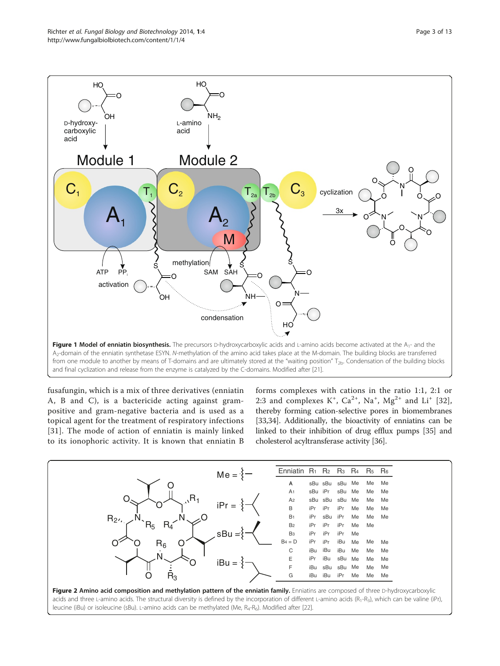<span id="page-2-0"></span>

fusafungin, which is a mix of three derivatives (enniatin A, B and C), is a bactericide acting against grampositive and gram-negative bacteria and is used as a topical agent for the treatment of respiratory infections [[31](#page-12-0)]. The mode of action of enniatin is mainly linked to its ionophoric activity. It is known that enniatin B

forms complexes with cations in the ratio 1:1, 2:1 or 2:3 and complexes  $K^+$ ,  $Ca^{2+}$ ,  $Na^+$ ,  $Mg^{2+}$  and  $Li^+$  [[32](#page-12-0)], thereby forming cation-selective pores in biomembranes [[33](#page-12-0),[34](#page-12-0)]. Additionally, the bioactivity of enniatins can be linked to their inhibition of drug efflux pumps [[35\]](#page-12-0) and cholesterol acyltransferase activity [\[36\]](#page-12-0).



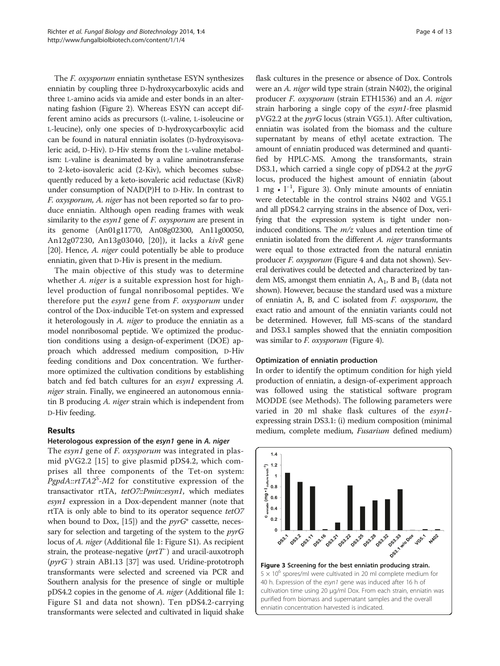The F. oxysporum enniatin synthetase ESYN synthesizes enniatin by coupling three D-hydroxycarboxylic acids and three L-amino acids via amide and ester bonds in an alternating fashion (Figure [2\)](#page-2-0). Whereas ESYN can accept different amino acids as precursors (L-valine, L-isoleucine or L-leucine), only one species of D-hydroxycarboxylic acid can be found in natural enniatin isolates (D-hydroxyisovaleric acid, D-Hiv). D-Hiv stems from the L-valine metabolism: L-valine is deanimated by a valine aminotransferase to 2-keto-isovaleric acid (2-Kiv), which becomes subsequently reduced by a keto-isovaleric acid reductase (KivR) under consumption of NAD(P)H to D-Hiv. In contrast to F. oxysporum, A. niger has not been reported so far to produce enniatin. Although open reading frames with weak similarity to the *esyn1* gene of *F. oxysporum* are present in its genome (An01g11770, An08g02300, An11g00050, An12g07230, An13g03040, [[20](#page-11-0)]), it lacks a kivR gene [[20](#page-11-0)]. Hence, A. niger could potentially be able to produce enniatin, given that D-Hiv is present in the medium.

The main objective of this study was to determine whether *A. niger* is a suitable expression host for highlevel production of fungal nonribosomal peptides. We therefore put the *esyn1* gene from *F. oxysporum* under control of the Dox-inducible Tet-on system and expressed it heterologously in A. niger to produce the enniatin as a model nonribosomal peptide. We optimized the production conditions using a design-of-experiment (DOE) approach which addressed medium composition, D-Hiv feeding conditions and Dox concentration. We furthermore optimized the cultivation conditions by establishing batch and fed batch cultures for an esyn1 expressing A. niger strain. Finally, we engineered an autonomous enniatin B producing A. niger strain which is independent from D-Hiv feeding.

# Results

#### Heterologous expression of the esyn1 gene in A. niger

The esyn1 gene of F. oxysporum was integrated in plasmid pVG2.2 [[15](#page-11-0)] to give plasmid pDS4.2, which comprises all three components of the Tet-on system: PgpdA::rtTA2<sup>S</sup>-M2 for constitutive expression of the transactivator rtTA, tetO7::Pmin::esyn1, which mediates esyn1 expression in a Dox-dependent manner (note that rtTA is only able to bind to its operator sequence tetO7 when bound to Dox, [\[15\]](#page-11-0)) and the  $pyrG^*$  cassette, necessary for selection and targeting of the system to the *pyrG* locus of A. niger (Additional file [1:](#page-11-0) Figure S1). As recipient strain, the protease-negative (prtT<sup>−</sup> ) and uracil-auxotroph (pyrG<sup>−</sup> ) strain AB1.13 [\[37\]](#page-12-0) was used. Uridine-prototroph transformants were selected and screened via PCR and Southern analysis for the presence of single or multiple pDS4.2 copies in the genome of A. niger (Additional file [1](#page-11-0): Figure S1 and data not shown). Ten pDS4.2-carrying transformants were selected and cultivated in liquid shake flask cultures in the presence or absence of Dox. Controls were an A. niger wild type strain (strain N402), the original producer F. oxysporum (strain ETH1536) and an A. niger strain harboring a single copy of the *esyn1*-free plasmid pVG2.2 at the pyrG locus (strain VG5.1). After cultivation, enniatin was isolated from the biomass and the culture supernatant by means of ethyl acetate extraction. The amount of enniatin produced was determined and quantified by HPLC-MS. Among the transformants, strain DS3.1, which carried a single copy of pDS4.2 at the pyrG locus, produced the highest amount of enniatin (about 1 mg •  $l^{-1}$ , Figure 3). Only minute amounts of enniatin were detectable in the control strains N402 and VG5.1 and all pDS4.2 carrying strains in the absence of Dox, verifying that the expression system is tight under noninduced conditions. The  $m/z$  values and retention time of enniatin isolated from the different A. niger transformants were equal to those extracted from the natural enniatin producer F. oxysporum (Figure [4](#page-5-0) and data not shown). Several derivatives could be detected and characterized by tandem MS, amongst them enniatin A,  $A_1$ , B and B<sub>1</sub> (data not shown). However, because the standard used was a mixture of enniatin A, B, and C isolated from F. oxysporum, the exact ratio and amount of the enniatin variants could not be determined. However, full MS-scans of the standard and DS3.1 samples showed that the enniatin composition was similar to *F. oxysporum* (Figure [4](#page-5-0)).

#### Optimization of enniatin production

In order to identify the optimum condition for high yield production of enniatin, a design-of-experiment approach was followed using the statistical software program MODDE (see [Methods\)](#page-9-0). The following parameters were varied in 20 ml shake flask cultures of the esyn1 expressing strain DS3.1: (i) medium composition (minimal medium, complete medium, Fusarium defined medium)

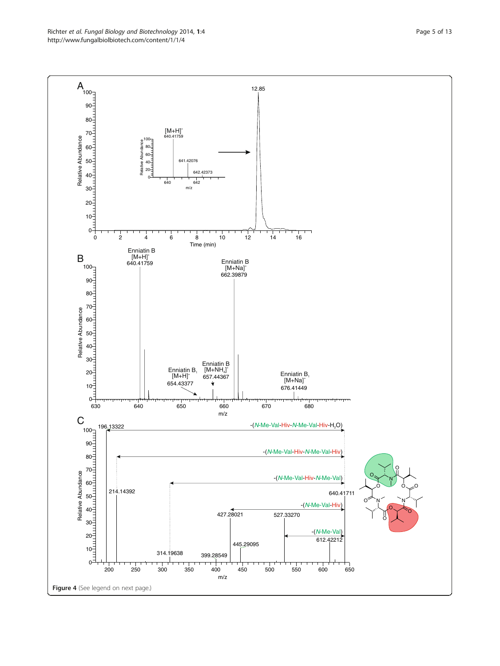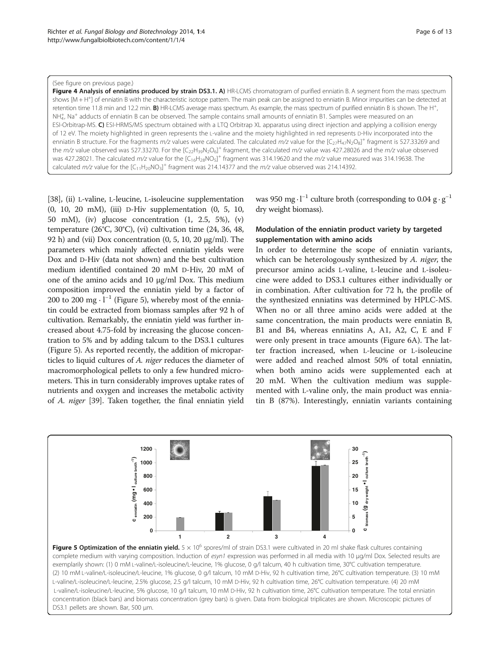#### <span id="page-5-0"></span>(See figure on previous page.)

Figure 4 Analysis of enniatins produced by strain DS3.1. A) HR-LCMS chromatogram of purified enniatin B. A segment from the mass spectrum shows [M + H<sup>+</sup>] of enniatin B with the characteristic isotope pattern. The main peak can be assigned to enniatin B. Minor impurities can be detected at retention time 11.8 min and 12.2 min. **B)** HR-LCMS average mass spectrum. As example, the mass spectrum of purified enniatin B is shown. The H<sup>+</sup>, NH<sub>4</sub>, Na<sup>+</sup> adducts of enniatin B can be observed. The sample contains small amounts of enniatin B1. Samples were measured on an ESI-Orbitrap-MS. C) ESI-HRMS/MS spectrum obtained with a LTQ Orbitrap XL apparatus using direct injection and applying a collision energy of 12 eV. The moiety highlighted in green represents the L-valine and the moiety highlighted in red represents D-Hiv incorporated into the enniatin B structure. For the fragments m/z values were calculated. The calculated m/z value for the  $[C_{27}H_{47}N_2O_8]^+$  fragment is 527.33269 and the m/z value observed was 527.33270. For the  $[C_{22}H_{39}N_2O_6]^+$  fragment, the calculated m/z value was 427.28026 and the m/z value observed was 427.28021. The calculated m/z value for the  $[C_{16}H_{28}NO_5]^+$  fragment was 314.19620 and the m/z value measured was 314.19638. The calculated m/z value for the  $[C_{11}H_{20}NO_3]^+$  fragment was 214.14377 and the m/z value observed was 214.14392.

[[38](#page-12-0)], (ii) L-valine, L-leucine, L-isoleucine supplementation (0, 10, 20 mM), (iii) D-Hiv supplementation (0, 5, 10, 50 mM), (iv) glucose concentration (1, 2.5, 5%), (v) temperature (26°C, 30°C), (vi) cultivation time (24, 36, 48, 92 h) and (vii) Dox concentration (0, 5, 10, 20 μg/ml). The parameters which mainly affected enniatin yields were Dox and D-Hiv (data not shown) and the best cultivation medium identified contained 20 mM D-Hiv, 20 mM of one of the amino acids and 10 μg/ml Dox. This medium composition improved the enniatin yield by a factor of 200 to 200 mg  $\cdot$  l<sup>-1</sup> (Figure 5), whereby most of the enniatin could be extracted from biomass samples after 92 h of cultivation. Remarkably, the enniatin yield was further increased about 4.75-fold by increasing the glucose concentration to 5% and by adding talcum to the DS3.1 cultures (Figure 5). As reported recently, the addition of microparticles to liquid cultures of A. niger reduces the diameter of macromorphological pellets to only a few hundred micrometers. This in turn considerably improves uptake rates of nutrients and oxygen and increases the metabolic activity of A. niger [\[39\]](#page-12-0). Taken together, the final enniatin yield

was 950 mg · l<sup>−1</sup> culture broth (corresponding to 0.04 g ·  $g^{-1}$ ) dry weight biomass).

# Modulation of the enniatin product variety by targeted supplementation with amino acids

In order to determine the scope of enniatin variants, which can be heterologously synthesized by A. niger, the precursor amino acids L-valine, L-leucine and L-isoleucine were added to DS3.1 cultures either individually or in combination. After cultivation for 72 h, the profile of the synthesized enniatins was determined by HPLC-MS. When no or all three amino acids were added at the same concentration, the main products were enniatin B, B1 and B4, whereas enniatins A, A1, A2, C, E and F were only present in trace amounts (Figure [6A](#page-6-0)). The latter fraction increased, when L-leucine or L-isoleucine were added and reached almost 50% of total enniatin, when both amino acids were supplemented each at 20 mM. When the cultivation medium was supplemented with L-valine only, the main product was enniatin B (87%). Interestingly, enniatin variants containing



L-valine/L-isoleucine/L-leucine, 5% glucose, 10 g/l talcum, 10 mM D-Hiv, 92 h cultivation time, 26°C cultivation temperature. The total enniatin concentration (black bars) and biomass concentration (grey bars) is given. Data from biological triplicates are shown. Microscopic pictures of DS3.1 pellets are shown. Bar, 500 μm.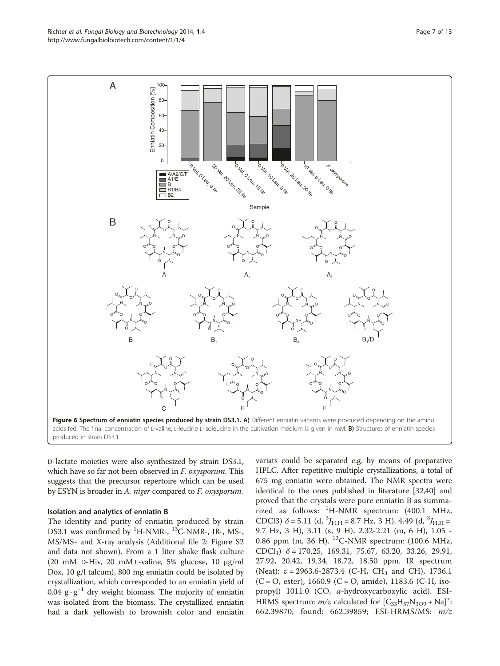#### <span id="page-6-0"></span>Richter et al. Fungal Biology and Biotechnology 2014, 1:4 Page 7 of 13 http://www.fungalbiolbiotech.com/content/1/1/4



D-lactate moieties were also synthesized by strain DS3.1, which have so far not been observed in *F. oxysporum*. This suggests that the precursor repertoire which can be used by ESYN is broader in A. niger compared to F. oxysporum.

# Isolation and analytics of enniatin B

The identity and purity of enniatin produced by strain DS3.1 was confirmed by <sup>1</sup>H-NMR-, <sup>13</sup>C-NMR-, IR-, MS-, MS/MS- and X-ray analysis (Additional file [2](#page-11-0): Figure S2 and data not shown). From a 1 liter shake flask culture (20 mM D-Hiv, 20 mM L-valine, 5% glucose, 10 μg/ml Dox, 10 g/l talcum), 800 mg enniatin could be isolated by crystallization, which corresponded to an enniatin yield of 0.04  $g \cdot g^{-1}$  dry weight biomass. The majority of enniatin was isolated from the biomass. The crystallized enniatin had a dark yellowish to brownish color and enniatin variats could be separated e.g. by means of preparative HPLC. After repetitive multiple crystallizations, a total of 675 mg enniatin were obtained. The NMR spectra were identical to the ones published in literature [[32,40](#page-12-0)] and proved that the crystals were pure enniatin B as summarized as follows: <sup>1</sup>H-NMR spectrum: (400.1 MHz, CDCl3)  $\delta$  = 5.11 (d,  $^{3}J_{H,H}$  = 8.7 Hz, 3 H), 4.49 (d,  $^{3}J_{H,H}$  = 9.7 Hz, 3 H), 3.11 (s, 9 H), 2.32-2.21 (m, 6 H), 1.05 - 0.86 ppm (m, 36 H). 13C-NMR spectrum: (100.6 MHz, CDCl<sub>3</sub>)  $\delta$  = 170.25, 169.31, 75.67, 63.20, 33.26, 29.91, 27.92, 20.42, 19.34, 18.72, 18.50 ppm. IR spectrum (Neat):  $v = 2963.6 - 2873.4$  (C-H, CH<sub>3</sub> and CH), 1736.1  $(C = O, \text{ ester}), 1660.9 (C = O, \text{ amide}), 1183.6 (C-H, \text{ iso-}$ propyl) 1011.0 (CO, α-hydroxycarboxylic acid). ESI-HRMS spectrum:  $m/z$  calculated for  $[C_{33}H_{57}N_{3O9} + Na]^+$ : 662.39870; found: 662.39859; ESI-HRMS/MS: m/z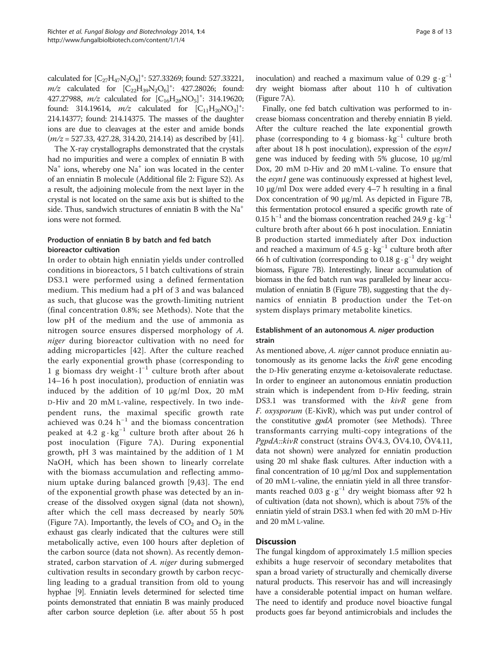calculated for  $[C_{27}H_{47}N_2O_8]^+$ : 527.33269; found: 527.33221,  $m/z$  calculated for  $[C_{22}H_{39}N_2O_6]^+$ : 427.28026; found: 427.27988,  $m/z$  calculated for  $[C_{16}H_{28}NO_5]^+$ : 314.19620; found: 314.19614,  $m/z$  calculated for  $[C_{11}H_{20}NO_3]$ <sup>+</sup>: 214.14377; found: 214.14375. The masses of the daughter ions are due to cleavages at the ester and amide bonds  $(m/z = 527.33, 427.28, 314.20, 214.14)$  as described by [[41](#page-12-0)].

The X-ray crystallographs demonstrated that the crystals had no impurities and were a complex of enniatin B with  $Na<sup>+</sup>$  ions, whereby one  $Na<sup>+</sup>$  ion was located in the center of an enniatin B molecule (Additional file [2:](#page-11-0) Figure S2). As a result, the adjoining molecule from the next layer in the crystal is not located on the same axis but is shifted to the side. Thus, sandwich structures of enniatin B with the Na+ ions were not formed.

# Production of enniatin B by batch and fed batch bioreactor cultivation

In order to obtain high enniatin yields under controlled conditions in bioreactors, 5 l batch cultivations of strain DS3.1 were performed using a defined fermentation medium. This medium had a pH of 3 and was balanced as such, that glucose was the growth-limiting nutrient (final concentration 0.8%; see [Methods\)](#page-9-0). Note that the low pH of the medium and the use of ammonia as nitrogen source ensures dispersed morphology of A. niger during bioreactor cultivation with no need for adding microparticles [\[42](#page-12-0)]. After the culture reached the early exponential growth phase (corresponding to 1 g biomass dry weight  $\cdot$  l<sup>−1</sup> culture broth after about 14–16 h post inoculation), production of enniatin was induced by the addition of 10 μg/ml Dox, 20 mM D-Hiv and 20 mM L-valine, respectively. In two independent runs, the maximal specific growth rate achieved was 0.24  $h^{-1}$  and the biomass concentration peaked at 4.2 g · kg−<sup>1</sup> culture broth after about 26 h post inoculation (Figure [7](#page-8-0)A). During exponential growth, pH 3 was maintained by the addition of 1 M NaOH, which has been shown to linearly correlate with the biomass accumulation and reflecting ammonium uptake during balanced growth [[9](#page-11-0)[,43](#page-12-0)]. The end of the exponential growth phase was detected by an increase of the dissolved oxygen signal (data not shown), after which the cell mass decreased by nearly 50% (Figure [7](#page-8-0)A). Importantly, the levels of  $CO<sub>2</sub>$  and  $O<sub>2</sub>$  in the exhaust gas clearly indicated that the cultures were still metabolically active, even 100 hours after depletion of the carbon source (data not shown). As recently demonstrated, carbon starvation of A. niger during submerged cultivation results in secondary growth by carbon recycling leading to a gradual transition from old to young hyphae [[9](#page-11-0)]. Enniatin levels determined for selected time points demonstrated that enniatin B was mainly produced after carbon source depletion (i.e. after about 55 h post inoculation) and reached a maximum value of 0.29  $g \cdot g^{-1}$ dry weight biomass after about 110 h of cultivation (Figure [7A](#page-8-0)).

Finally, one fed batch cultivation was performed to increase biomass concentration and thereby enniatin B yield. After the culture reached the late exponential growth phase (corresponding to 4 g biomass · kg<sup>-1</sup> culture broth after about 18 h post inoculation), expression of the esyn1 gene was induced by feeding with 5% glucose, 10 μg/ml Dox, 20 mM D-Hiv and 20 mM L-valine. To ensure that the esyn1 gene was continuously expressed at highest level, 10 μg/ml Dox were added every 4–7 h resulting in a final Dox concentration of 90 μg/ml. As depicted in Figure [7B](#page-8-0), this fermentation protocol ensured a specific growth rate of 0.15 h<sup>-1</sup> and the biomass concentration reached 24.9 g · kg<sup>-1</sup> culture broth after about 66 h post inoculation. Enniatin B production started immediately after Dox induction and reached a maximum of 4.5  $g \cdot kg^{-1}$  culture broth after 66 h of cultivation (corresponding to 0.18 g  $\cdot$  g<sup>-1</sup> dry weight biomass, Figure [7B](#page-8-0)). Interestingly, linear accumulation of biomass in the fed batch run was paralleled by linear accumulation of enniatin B (Figure [7B](#page-8-0)), suggesting that the dynamics of enniatin B production under the Tet-on system displays primary metabolite kinetics.

# Establishment of an autonomous A. niger production strain

As mentioned above, A. niger cannot produce enniatin autonomously as its genome lacks the  $kivR$  gene encoding the D-Hiv generating enzyme α-ketoisovalerate reductase. In order to engineer an autonomous enniatin production strain which is independent from D-Hiv feeding, strain DS3.1 was transformed with the kivR gene from F. oxysporum (E-KivR), which was put under control of the constitutive gpdA promoter (see [Methods\)](#page-9-0). Three transformants carrying multi-copy integrations of the PgpdA::kivR construct (strains ÖV4.3, ÖV4.10, ÖV4.11, data not shown) were analyzed for enniatin production using 20 ml shake flask cultures. After induction with a final concentration of 10 μg/ml Dox and supplementation of 20 mM L-valine, the enniatin yield in all three transformants reached 0.03 g ·  $g^{-1}$  dry weight biomass after 92 h of cultivation (data not shown), which is about 75% of the enniatin yield of strain DS3.1 when fed with 20 mM D-Hiv and 20 mM L-valine.

# **Discussion**

The fungal kingdom of approximately 1.5 million species exhibits a huge reservoir of secondary metabolites that span a broad variety of structurally and chemically diverse natural products. This reservoir has and will increasingly have a considerable potential impact on human welfare. The need to identify and produce novel bioactive fungal products goes far beyond antimicrobials and includes the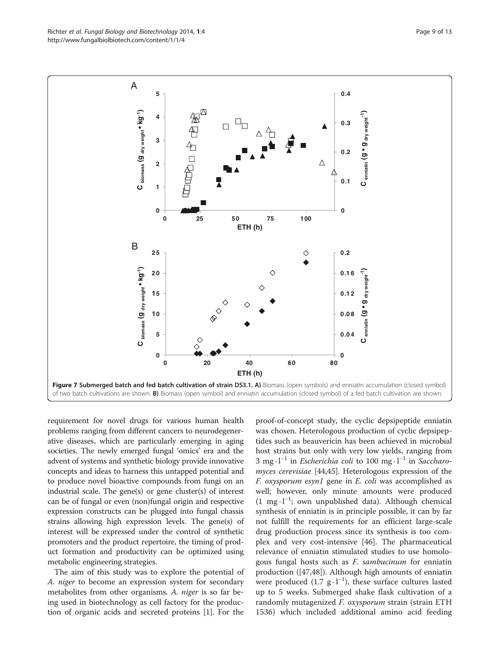requirement for novel drugs for various human health problems ranging from different cancers to neurodegenerative diseases, which are particularly emerging in aging societies. The newly emerged fungal 'omics' era and the advent of systems and synthetic biology provide innovative concepts and ideas to harness this untapped potential and to produce novel bioactive compounds from fungi on an industrial scale. The gene(s) or gene cluster(s) of interest can be of fungal or even (non)fungal origin and respective expression constructs can be plugged into fungal chassis strains allowing high expression levels. The gene(s) of interest will be expressed under the control of synthetic promoters and the product repertoire, the timing of product formation and productivity can be optimized using metabolic engineering strategies.

The aim of this study was to explore the potential of A. niger to become an expression system for secondary metabolites from other organisms. A. niger is so far being used in biotechnology as cell factory for the production of organic acids and secreted proteins [\[1](#page-11-0)]. For the

proof-of-concept study, the cyclic depsipeptide enniatin was chosen. Heterologous production of cyclic depsipeptides such as beauvericin has been achieved in microbial host strains but only with very low yields, ranging from 3 mg · l<sup>-1</sup> in *Escherichia coli* to 100 mg · l<sup>-1</sup> in *Saccharo*myces cerevisiae [[44,45\]](#page-12-0). Heterologous expression of the F. oxysporum esyn1 gene in E. coli was accomplished as well; however, only minute amounts were produced (1 mg · l−<sup>1</sup> ; own unpublished data). Although chemical synthesis of enniatin is in principle possible, it can by far not fulfill the requirements for an efficient large-scale drug production process since its synthesis is too complex and very cost-intensive [\[46](#page-12-0)]. The pharmaceutical relevance of enniatin stimulated studies to use homologous fungal hosts such as F. sambucinum for enniatin production ([\[47,48](#page-12-0)]). Although high amounts of enniatin were produced  $(1.7 \text{ g} \cdot l^{-1})$ , these surface cultures lasted up to 5 weeks. Submerged shake flask cultivation of a randomly mutagenized F. oxysporum strain (strain ETH 1536) which included additional amino acid feeding

<span id="page-8-0"></span>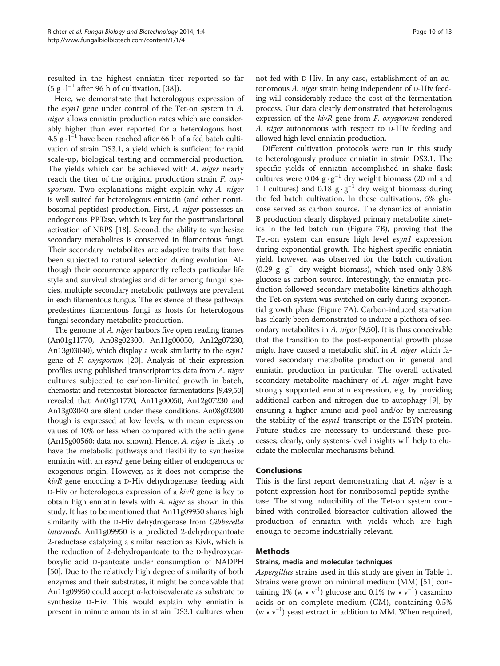<span id="page-9-0"></span>resulted in the highest enniatin titer reported so far  $(5 g \cdot l^{-1}$  after 96 h of cultivation, [\[38](#page-12-0)]).

Here, we demonstrate that heterologous expression of the *esyn1* gene under control of the Tet-on system in A. niger allows enniatin production rates which are considerably higher than ever reported for a heterologous host. 4.5 g  $\cdot$  l<sup>-1</sup> have been reached after 66 h of a fed batch cultivation of strain DS3.1, a yield which is sufficient for rapid scale-up, biological testing and commercial production. The yields which can be achieved with A. niger nearly reach the titer of the original production strain F. oxysporum. Two explanations might explain why A. niger is well suited for heterologous enniatin (and other nonribosomal peptides) production. First, A. niger possesses an endogenous PPTase, which is key for the posttranslational activation of NRPS [[18\]](#page-11-0). Second, the ability to synthesize secondary metabolites is conserved in filamentous fungi. Their secondary metabolites are adaptive traits that have been subjected to natural selection during evolution. Although their occurrence apparently reflects particular life style and survival strategies and differ among fungal species, multiple secondary metabolic pathways are prevalent in each filamentous fungus. The existence of these pathways predestines filamentous fungi as hosts for heterologous fungal secondary metabolite production.

The genome of A. niger harbors five open reading frames (An01g11770, An08g02300, An11g00050, An12g07230, An13g03040), which display a weak similarity to the esyn1 gene of F. oxysporum [\[20\]](#page-11-0). Analysis of their expression profiles using published transcriptomics data from A. niger cultures subjected to carbon-limited growth in batch, chemostat and retentostat bioreactor fermentations [[9](#page-11-0)[,49,50](#page-12-0)] revealed that An01g11770, An11g00050, An12g07230 and An13g03040 are silent under these conditions. An08g02300 though is expressed at low levels, with mean expression values of 10% or less when compared with the actin gene (An15g00560; data not shown). Hence, A. niger is likely to have the metabolic pathways and flexibility to synthesize enniatin with an esyn1 gene being either of endogenous or exogenous origin. However, as it does not comprise the kivR gene encoding a D-Hiv dehydrogenase, feeding with D-Hiv or heterologous expression of a  $kivR$  gene is key to obtain high enniatin levels with A. niger as shown in this study. It has to be mentioned that An11g09950 shares high similarity with the D-Hiv dehydrogenase from Gibberella intermedi. An11g09950 is a predicted 2-dehydropantoate 2-reductase catalyzing a similar reaction as KivR, which is the reduction of 2-dehydropantoate to the D-hydroxycarboxylic acid D-pantoate under consumption of NADPH [[50](#page-12-0)]. Due to the relatively high degree of similarity of both enzymes and their substrates, it might be conceivable that An11g09950 could accept α-ketoisovalerate as substrate to synthesize D-Hiv. This would explain why enniatin is present in minute amounts in strain DS3.1 cultures when

not fed with D-Hiv. In any case, establishment of an autonomous A. niger strain being independent of D-Hiv feeding will considerably reduce the cost of the fermentation process. Our data clearly demonstrated that heterologous expression of the kivR gene from F. oxysporum rendered A. niger autonomous with respect to D-Hiv feeding and allowed high level enniatin production.

Different cultivation protocols were run in this study to heterologously produce enniatin in strain DS3.1. The specific yields of enniatin accomplished in shake flask cultures were 0.04  $g \cdot g^{-1}$  dry weight biomass (20 ml and 1 l cultures) and 0.18 g ·  $g^{-1}$  dry weight biomass during the fed batch cultivation. In these cultivations, 5% glucose served as carbon source. The dynamics of enniatin B production clearly displayed primary metabolite kinetics in the fed batch run (Figure [7B](#page-8-0)), proving that the Tet-on system can ensure high level esyn1 expression during exponential growth. The highest specific enniatin yield, however, was observed for the batch cultivation (0.29  $g \cdot g^{-1}$  dry weight biomass), which used only 0.8% glucose as carbon source. Interestingly, the enniatin production followed secondary metabolite kinetics although the Tet-on system was switched on early during exponential growth phase (Figure [7A](#page-8-0)). Carbon-induced starvation has clearly been demonstrated to induce a plethora of secondary metabolites in A. niger [\[9](#page-11-0)[,50\]](#page-12-0). It is thus conceivable that the transition to the post-exponential growth phase might have caused a metabolic shift in A. niger which favored secondary metabolite production in general and enniatin production in particular. The overall activated secondary metabolite machinery of A. niger might have strongly supported enniatin expression, e.g. by providing additional carbon and nitrogen due to autophagy [\[9](#page-11-0)], by ensuring a higher amino acid pool and/or by increasing the stability of the *esyn1* transcript or the ESYN protein. Future studies are necessary to understand these processes; clearly, only systems-level insights will help to elucidate the molecular mechanisms behind.

#### Conclusions

This is the first report demonstrating that A. niger is a potent expression host for nonribosomal peptide synthetase. The strong inducibility of the Tet-on system combined with controlled bioreactor cultivation allowed the production of enniatin with yields which are high enough to become industrially relevant.

#### Methods

#### Strains, media and molecular techniques

Aspergillus strains used in this study are given in Table [1](#page-10-0). Strains were grown on minimal medium (MM) [\[51\]](#page-12-0) containing 1% ( $w \cdot v^{-1}$ ) glucose and 0.1% ( $w \cdot v^{-1}$ ) casamino acids or on complete medium (CM), containing 0.5% (w • v−<sup>1</sup> ) yeast extract in addition to MM. When required,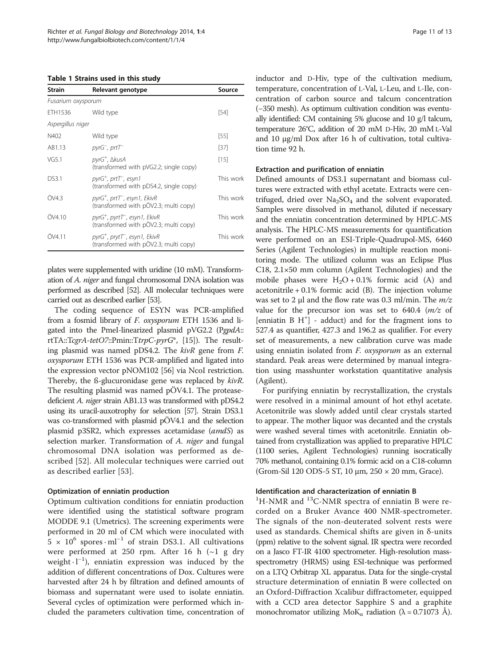#### <span id="page-10-0"></span>Table 1 Strains used in this study

| <b>Strain</b>      | Relevant genotype                                                            | Source    |
|--------------------|------------------------------------------------------------------------------|-----------|
| Fusarium oxysporum |                                                                              |           |
| ETH1536            | Wild type                                                                    | $[54]$    |
| Aspergillus niger  |                                                                              |           |
| N402               | Wild type                                                                    | [55]      |
| AB1.13             | $pyrG^-$ , $prtT^-$                                                          | [37]      |
| VG5.1              | $pyrG^+$ , $\Delta kusA$<br>(transformed with pVG2.2; single copy)           | [15]      |
| DS3.1              | $pyrG^+$ , prt $T$ , esyn1<br>(transformed with pDS4.2, single copy)         | This work |
| OV4.3              | $pyrG^+$ , $prtT^-$ , esyn1, EkivR<br>(transformed with pOV2.3; multi copy)  | This work |
| ÖV4.10             | $pyrG^+$ , $pyrtT^-$ , esyn1, EkivR<br>(transformed with pÖV2.3; multi copy) | This work |
| ÖV4.11             | $pyrG^+$ , $prytT^-$ , esyn1, EkivR<br>(transformed with pÖV2.3; multi copy) | This work |

plates were supplemented with uridine (10 mM). Transformation of A. niger and fungal chromosomal DNA isolation was performed as described [\[52](#page-12-0)]. All molecular techniques were carried out as described earlier [\[53\]](#page-12-0).

The coding sequence of ESYN was PCR-amplified from a fosmid library of F. oxysporum ETH 1536 and ligated into the PmeI-linearized plasmid pVG2.2 (PgpdA:: rtTA::TcgrA-tetO7::Pmin::TtrpC-pyrG\*, [\[15\]](#page-11-0)). The resulting plasmid was named pDS4.2. The kivR gene from F. oxysporum ETH 1536 was PCR-amplified and ligated into the expression vector pNOM102 [[56](#page-12-0)] via NcoI restriction. Thereby, the ß-glucuronidase gene was replaced by kivR. The resulting plasmid was named pÖV4.1. The proteasedeficient A. niger strain AB1.13 was transformed with pDS4.2 using its uracil-auxotrophy for selection [\[57\]](#page-12-0). Strain DS3.1 was co-transformed with plasmid pÖV4.1 and the selection plasmid p3SR2, which expresses acetamidase (amdS) as selection marker. Transformation of A. *niger* and fungal chromosomal DNA isolation was performed as described [\[52](#page-12-0)]. All molecular techniques were carried out as described earlier [[53\]](#page-12-0).

#### Optimization of enniatin production

Optimum cultivation conditions for enniatin production were identified using the statistical software program MODDE 9.1 (Umetrics). The screening experiments were performed in 20 ml of CM which were inoculated with  $5 \times 10^6$  spores · ml<sup>-1</sup> of strain DS3.1. All cultivations were performed at 250 rpm. After 16 h (~1 g dry weight · l<sup>-1</sup>), enniatin expression was induced by the addition of different concentrations of Dox. Cultures were harvested after 24 h by filtration and defined amounts of biomass and supernatant were used to isolate enniatin. Several cycles of optimization were performed which included the parameters cultivation time, concentration of inductor and D-Hiv, type of the cultivation medium, temperature, concentration of L-Val, L-Leu, and L-Ile, concentration of carbon source and talcum concentration (−350 mesh). As optimum cultivation condition was eventually identified: CM containing 5% glucose and 10 g/l talcum, temperature 26°C, addition of 20 mM D-Hiv, 20 mM L-Val and 10 μg/ml Dox after 16 h of cultivation, total cultivation time 92 h.

#### Extraction and purification of enniatin

Defined amounts of DS3.1 supernatant and biomass cultures were extracted with ethyl acetate. Extracts were centrifuged, dried over  $Na<sub>2</sub>SO<sub>4</sub>$  and the solvent evaporated. Samples were dissolved in methanol, diluted if necessary and the enniatin concentration determined by HPLC-MS analysis. The HPLC-MS measurements for quantification were performed on an ESI-Triple-Quadrupol-MS, 6460 Series (Agilent Technologies) in multiple reaction monitoring mode. The utilized column was an Eclipse Plus C18, 2.1×50 mm column (Agilent Technologies) and the mobile phases were  $H_2O + 0.1%$  formic acid (A) and acetonitrile  $+0.1\%$  formic acid (B). The injection volume was set to 2  $\mu$ l and the flow rate was 0.3 ml/min. The  $m/z$ value for the precursor ion was set to  $640.4$  ( $m/z$  of [enniatin B H<sup>+</sup>] - adduct) and for the fragment ions to 527.4 as quantifier, 427.3 and 196.2 as qualifier. For every set of measurements, a new calibration curve was made using enniatin isolated from *F. oxysporum* as an external standard. Peak areas were determined by manual integration using masshunter workstation quantitative analysis (Agilent).

For purifying enniatin by recrystallization, the crystals were resolved in a minimal amount of hot ethyl acetate. Acetonitrile was slowly added until clear crystals started to appear. The mother liquor was decanted and the crystals were washed several times with acetonitrile. Enniatin obtained from crystallization was applied to preparative HPLC (1100 series, Agilent Technologies) running isocratically 70% methanol, containing 0.1% formic acid on a C18-column (Grom-Sil 120 ODS-5 ST, 10 μm, 250 × 20 mm, Grace).

#### Identification and characterization of enniatin B

<sup>1</sup>H-NMR and <sup>13</sup>C-NMR spectra of enniatin B were recorded on a Bruker Avance 400 NMR-spectrometer. The signals of the non-deuterated solvent rests were used as standards. Chemical shifts are given in δ-units (ppm) relative to the solvent signal. IR spectra were recorded on a Jasco FT-IR 4100 spectrometer. High-resolution massspectrometry (HRMS) using ESI-technique was performed on a LTQ Orbitrap XL apparatus. Data for the single-crystal structure determination of enniatin B were collected on an Oxford-Diffraction Xcalibur diffractometer, equipped with a CCD area detector Sapphire S and a graphite monochromator utilizing  $MoK_\alpha$  radiation ( $\lambda = 0.71073$  Å).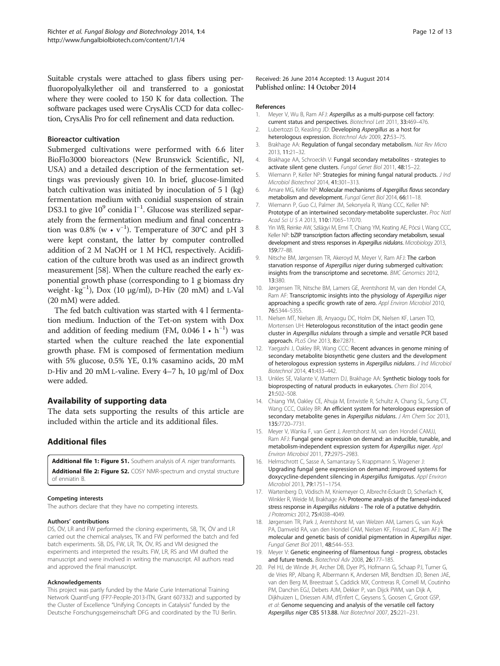<span id="page-11-0"></span>Suitable crystals were attached to glass fibers using perfluoropolyalkylether oil and transferred to a goniostat where they were cooled to 150 K for data collection. The software packages used were CrysAlis CCD for data collection, CrysAlis Pro for cell refinement and data reduction.

#### Bioreactor cultivation

Submerged cultivations were performed with 6.6 liter BioFlo3000 bioreactors (New Brunswick Scientific, NJ, USA) and a detailed description of the fermentation settings was previously given 10. In brief, glucose-limited batch cultivation was initiated by inoculation of 5 l (kg) fermentation medium with conidial suspension of strain DS3.1 to give  $10^9$  conidia  $l^{-1}$ . Glucose was sterilized separately from the fermentation medium and final concentration was 0.8% (w  $\cdot$  v<sup>-1</sup>). Temperature of 30°C and pH 3 were kept constant, the latter by computer controlled addition of 2 M NaOH or 1 M HCl, respectively. Acidification of the culture broth was used as an indirect growth measurement [[58](#page-12-0)]. When the culture reached the early exponential growth phase (corresponding to 1 g biomass dry weight · kg<sup>-1</sup>), Dox (10 μg/ml), D-Hiv (20 mM) and L-Val (20 mM) were added.

The fed batch cultivation was started with 4 l fermentation medium. Induction of the Tet-on system with Dox and addition of feeding medium (FM, 0.046 l •  $h^{-1}$ ) was started when the culture reached the late exponential growth phase. FM is composed of fermentation medium with 5% glucose, 0.5% YE, 0.1% casamino acids, 20 mM D-Hiv and 20 mM L-valine. Every 4–7 h, 10 μg/ml of Dox were added.

# Availability of supporting data

The data sets supporting the results of this article are included within the article and its additional files.

# Additional files

[Additional file 1: Figure S1.](http://www.fungalbiolbiotech.com/content/supplementary/s40694-014-0004-9-s1.pdf) Southern analysis of A. niger transformants. [Additional file 2: Figure S2.](http://www.fungalbiolbiotech.com/content/supplementary/s40694-014-0004-9-s2.pdf) COSY NMR-spectrum and crrystal structure of enniatin B.

#### Competing interests

The authors declare that they have no competing interests.

#### Authors' contributions

DS, ÖV, LR and FW performed the cloning experiments, SB, TK, ÖV and LR carried out the chemical analyses, TK and FW performed the batch and fed batch experiments. SB, DS, FW, LR, TK, ÖV, RS and VM designed the experiments and interpreted the results. FW, LR, RS and VM drafted the manuscript and were involved in writing the manuscript. All authors read and approved the final manuscript.

#### Acknowledgements

This project was partly funded by the Marie Curie International Training Network QuantFung (FP7-People-2013-ITN, Grant 607332) and supported by the Cluster of Excellence "Unifying Concepts in Catalysis" funded by the Deutsche Forschungsgemeinschaft DFG and coordinated by the TU Berlin.

Received: 26 June 2014 Accepted: 13 August 2014 Published online: 14 October 2014

#### References

- 1. Meyer V, Wu B, Ram AFJ: Aspergillus as a multi-purpose cell factory: current status and perspectives. Biotechnol Lett 2011, 33:469–476.
- 2. Lubertozzi D, Keasling JD: Developing Aspergillus as a host for heterologous expression. Biotechnol Adv 2009, 27:53–75.
- 3. Brakhage AA: Regulation of fungal secondary metabolism. Nat Rev Micro 2013, 11:21–32.
- 4. Brakhage AA, Schroeckh V: Fungal secondary metabolites strategies to activate silent gene clusters. Fungal Genet Biol 2011, 48:15–22.
- 5. Wiemann P, Keller NP: Strategies for mining fungal natural products. J Ind Microbiol Biotechnol 2014, 41:301–313.
- 6. Amare MG, Keller NP: Molecular mechanisms of Aspergillus flavus secondary metabolism and development. Fungal Genet Biol 2014, 66:11–18.
- 7. Wiemann P, Guo CJ, Palmer JM, Sekonyela R, Wang CCC, Keller NP: Prototype of an intertwined secondary-metabolite supercluster. Proc Natl Acad Sci U S A 2013, 110:17065–17070.
- 8. Yin WB, Reinke AW, Szilágyi M, Emri T, Chiang YM, Keating AE, Pócsi I, Wang CCC, Keller NP: bZIP transcription factors affecting secondary metabolism, sexual development and stress responses in Aspergillus nidulans. Microbiology 2013, 159:77–88.
- 9. Nitsche BM, Jørgensen TR, Akeroyd M, Meyer V, Ram AFJ: The carbon starvation response of Aspergillus niger during submerged cultivation: insights from the transcriptome and secretome. BMC Genomics 2012, 13:380.
- 10. Jørgensen TR, Nitsche BM, Lamers GE, Arentshorst M, van den Hondel CA, Ram AF: Transcriptomic insights into the physiology of Aspergillus niger approaching a specific growth rate of zero. Appl Environ Microbiol 2010, 76:5344–5355.
- 11. Nielsen MT, Nielsen JB, Anyaogu DC, Holm DK, Nielsen KF, Larsen TO, Mortensen UH: Heterologous reconstitution of the intact geodin gene cluster in Aspergillus nidulans through a simple and versatile PCR based approach. PLoS One 2013, 8:e72871.
- 12. Yaegashi J, Oakley BR, Wang CCC: Recent advances in genome mining of secondary metabolite biosynthetic gene clusters and the development of heterologous expression systems in Aspergillus nidulans. J Ind Microbiol Biotechnol 2014, 41:433–442.
- 13. Unkles SE, Valiante V, Mattern DJ, Brakhage AA: Synthetic biology tools for bioprospecting of natural products in eukaryotes. Chem Biol 2014, 21:502–508.
- 14. Chiang YM, Oakley CE, Ahuja M, Entwistle R, Schultz A, Chang SL, Sung CT, Wang CCC, Oakley BR: An efficient system for heterologous expression of secondary metabolite genes in Aspergillus nidulans. J Am Chem Soc 2013, 135:7720–7731.
- 15. Meyer V, Wanka F, van Gent J, Arentshorst M, van den Hondel CAMJJ, Ram AFJ: Fungal gene expression on demand: an inducible, tunable, and metabolism-independent expression system for Aspergillus niger. Appl Environ Microbiol 2011, 77:2975–2983.
- 16. Helmschrott C, Sasse A, Samantaray S, Krappmann S, Wagener J: Upgrading fungal gene expression on demand: improved systems for doxycycline-dependent silencing in Aspergillus fumigatus. Appl Environ Microbiol 2013, 79:1751–1754.
- 17. Wartenberg D, Vödisch M, Kniemeyer O, Albrecht-Eckardt D, Scherlach K, Winkler R, Weide M, Brakhage AA: Proteome analysis of the farnesol-induced stress response in Aspergillus nidulans - The role of a putative dehydrin. J Proteomics 2012, 75:4038–4049.
- 18. Jørgensen TR, Park J, Arentshorst M, van Welzen AM, Lamers G, van Kuyk PA, Damveld RA, van den Hondel CAM, Nielsen KF, Frisvad JC, Ram AFJ: The molecular and genetic basis of conidial pigmentation in Aspergillus niger. Fungal Genet Biol 2011, 48:544–553.
- 19. Meyer V: Genetic engineering of filamentous fungi progress, obstacles and future trends. Biotechnol Adv 2008, 26:177–185.
- 20. Pel HJ, de Winde JH, Archer DB, Dyer PS, Hofmann G, Schaap PJ, Turner G, de Vries RP, Albang R, Albermann K, Andersen MR, Bendtsen JD, Benen JAE, van den Berg M, Breestraat S, Caddick MX, Contreras R, Cornell M, Coutinho PM, Danchin EGJ, Debets AJM, Dekker P, van Dijck PWM, van Dijk A, Dijkhuizen L, Driessen AJM, d'Enfert C, Geysens S, Goosen C, Groot GSP, et al: Genome sequencing and analysis of the versatile cell factory Aspergillus niger CBS 513.88. Nat Biotechnol 2007, 25:221–231.